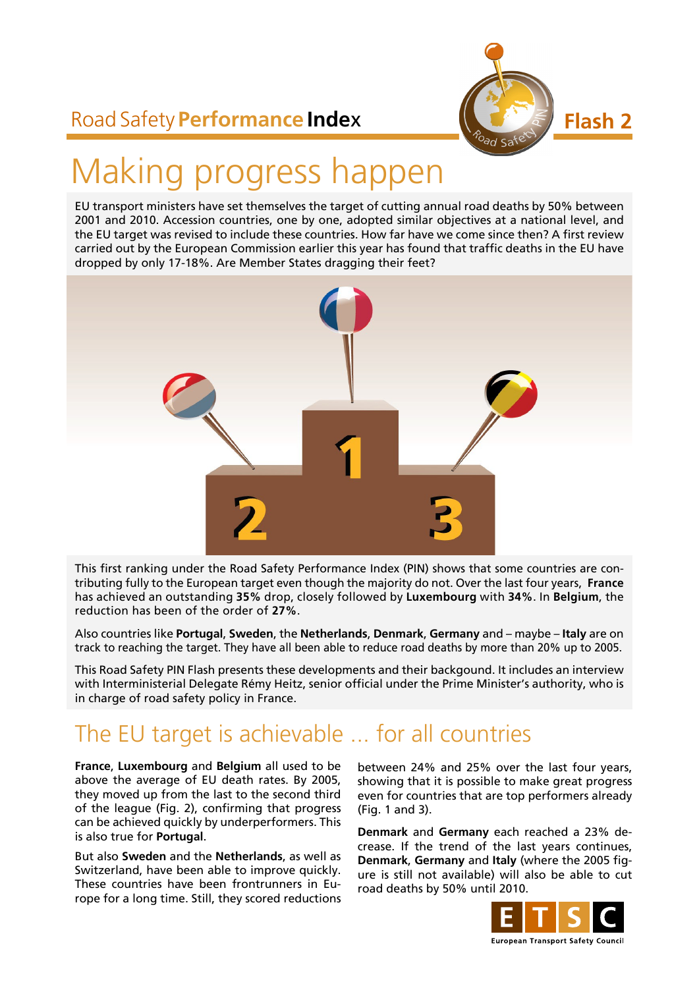

## Road Safety **Performance Inde**x

# Making progress happen

EU transport ministers have set themselves the target of cutting annual road deaths by 50% between 2001 and 2010. Accession countries, one by one, adopted similar objectives at a national level, and the EU target was revised to include these countries. How far have we come since then? A first review carried out by the European Commission earlier this year has found that traffic deaths in the EU have dropped by only 17-18%. Are Member States dragging their feet?



This first ranking under the Road Safety Performance Index (PIN) shows that some countries are contributing fully to the European target even though the majority do not. Over the last four years, **France** has achieved an outstanding **35%** drop, closely followed by **Luxembourg** with **34%**. In **Belgium**, the reduction has been of the order of **27%**.

Also countries like **Portugal**, **Sweden**, the **Netherlands**, **Denmark**, **Germany** and – maybe – **Italy** are on track to reaching the target. They have all been able to reduce road deaths by more than 20% up to 2005.

This Road Safety PIN Flash presents these developments and their backgound. It includes an interview with Interministerial Delegate Rémy Heitz, senior official under the Prime Minister's authority, who is in charge of road safety policy in France.

## The EU target is achievable ... for all countries

**France**, **Luxembourg** and **Belgium** all used to be above the average of EU death rates. By 2005, they moved up from the last to the second third of the league (Fig. 2), confirming that progress can be achieved quickly by underperformers. This is also true for **Portugal**.

But also **Sweden** and the **Netherlands**, as well as Switzerland, have been able to improve quickly. These countries have been frontrunners in Europe for a long time. Still, they scored reductions between 24% and 25% over the last four years, showing that it is possible to make great progress even for countries that are top performers already (Fig. 1 and 3).

**Denmark** and **Germany** each reached a 23% decrease. If the trend of the last years continues, **Denmark**, **Germany** and **Italy** (where the 2005 figure is still not available) will also be able to cut road deaths by 50% until 2010.

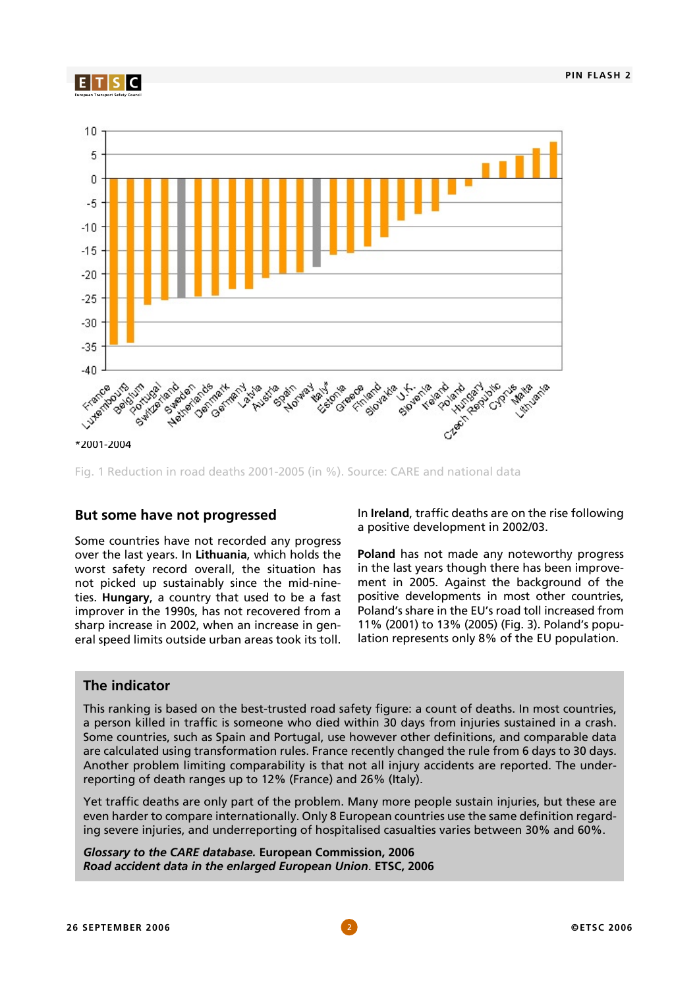



Fig. 1 Reduction in road deaths 2001-2005 (in %). Source: CARE and national data

#### **But some have not progressed**

Some countries have not recorded any progress over the last years. In **Lithuania**, which holds the worst safety record overall, the situation has not picked up sustainably since the mid-nineties. **Hungary**, a country that used to be a fast improver in the 1990s, has not recovered from a sharp increase in 2002, when an increase in general speed limits outside urban areas took its toll.

In **Ireland**, traffic deaths are on the rise following a positive development in 2002/03.

**Poland** has not made any noteworthy progress in the last years though there has been improvement in 2005. Against the background of the positive developments in most other countries, Poland's share in the EU's road toll increased from 11% (2001) to 13% (2005) (Fig. 3). Poland's population represents only 8% of the EU population.

#### **The indicator**

This ranking is based on the best-trusted road safety figure: a count of deaths. In most countries, a person killed in traffic is someone who died within 30 days from injuries sustained in a crash. Some countries, such as Spain and Portugal, use however other definitions, and comparable data are calculated using transformation rules. France recently changed the rule from 6 days to 30 days. Another problem limiting comparability is that not all injury accidents are reported. The underreporting of death ranges up to 12% (France) and 26% (Italy).

Yet traffic deaths are only part of the problem. Many more people sustain injuries, but these are even harder to compare internationally. Only 8 European countries use the same definition regarding severe injuries, and underreporting of hospitalised casualties varies between 30% and 60%.

*Glossary to the CARE database.* **European Commission, 2006** *Road accident data in the enlarged European Union*. **ETSC, 2006**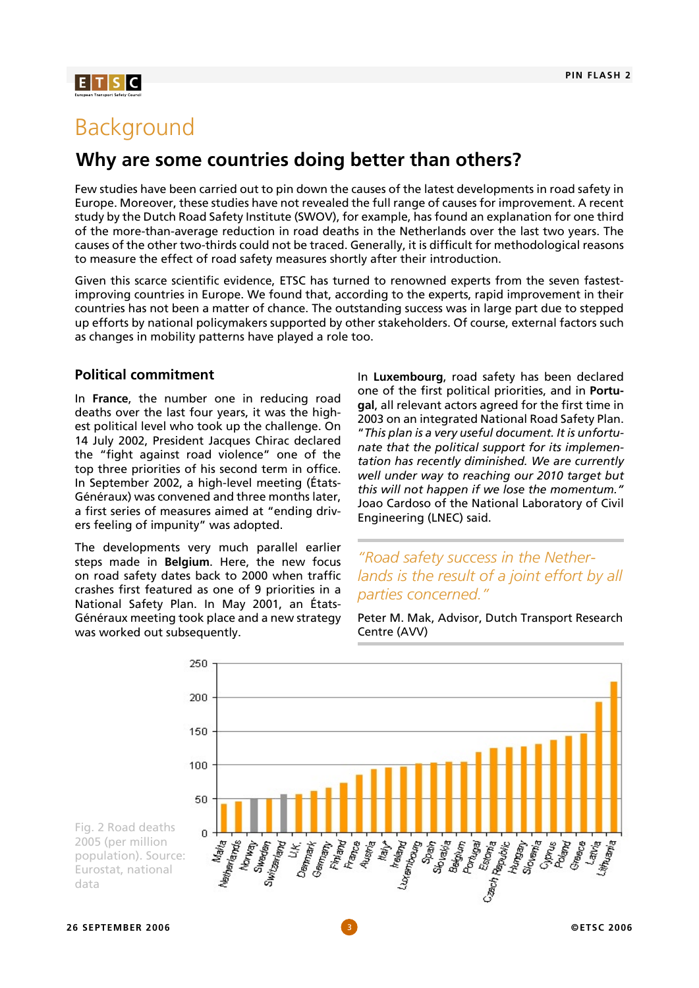## $E[T|S]C$

## Background

### **Why are some countries doing better than others?**

Few studies have been carried out to pin down the causes of the latest developments in road safety in Europe. Moreover, these studies have not revealed the full range of causes for improvement. A recent study by the Dutch Road Safety Institute (SWOV), for example, has found an explanation for one third of the more-than-average reduction in road deaths in the Netherlands over the last two years. The causes of the other two-thirds could not be traced. Generally, it is difficult for methodological reasons to measure the effect of road safety measures shortly after their introduction.

Given this scarce scientific evidence, ETSC has turned to renowned experts from the seven fastestimproving countries in Europe. We found that, according to the experts, rapid improvement in their countries has not been a matter of chance. The outstanding success was in large part due to stepped up efforts by national policymakers supported by other stakeholders. Of course, external factors such as changes in mobility patterns have played a role too.

#### **Political commitment**

In **France**, the number one in reducing road deaths over the last four years, it was the highest political level who took up the challenge. On 14 July 2002, President Jacques Chirac declared the "fight against road violence" one of the top three priorities of his second term in office. In September 2002, a high-level meeting (États-Généraux) was convened and three months later, a first series of measures aimed at "ending drivers feeling of impunity" was adopted.

The developments very much parallel earlier steps made in **Belgium**. Here, the new focus on road safety dates back to 2000 when traffic crashes first featured as one of 9 priorities in a National Safety Plan. In May 2001, an États-Généraux meeting took place and a new strategy was worked out subsequently.

In **Luxembourg**, road safety has been declared one of the first political priorities, and in **Portugal**, all relevant actors agreed for the first time in 2003 on an integrated National Road Safety Plan. "*This plan is a very useful document. It is unfortunate that the political support for its implementation has recently diminished. We are currently well under way to reaching our 2010 target but this will not happen if we lose the momentum."* Joao Cardoso of the National Laboratory of Civil Engineering (LNEC) said.

#### *"Road safety success in the Netherlands is the result of a joint effort by all parties concerned."*

Peter M. Mak, Advisor, Dutch Transport Research Centre (AVV)



**26 SEPTEMBER 2006** 3 **©ETSC 2006**

data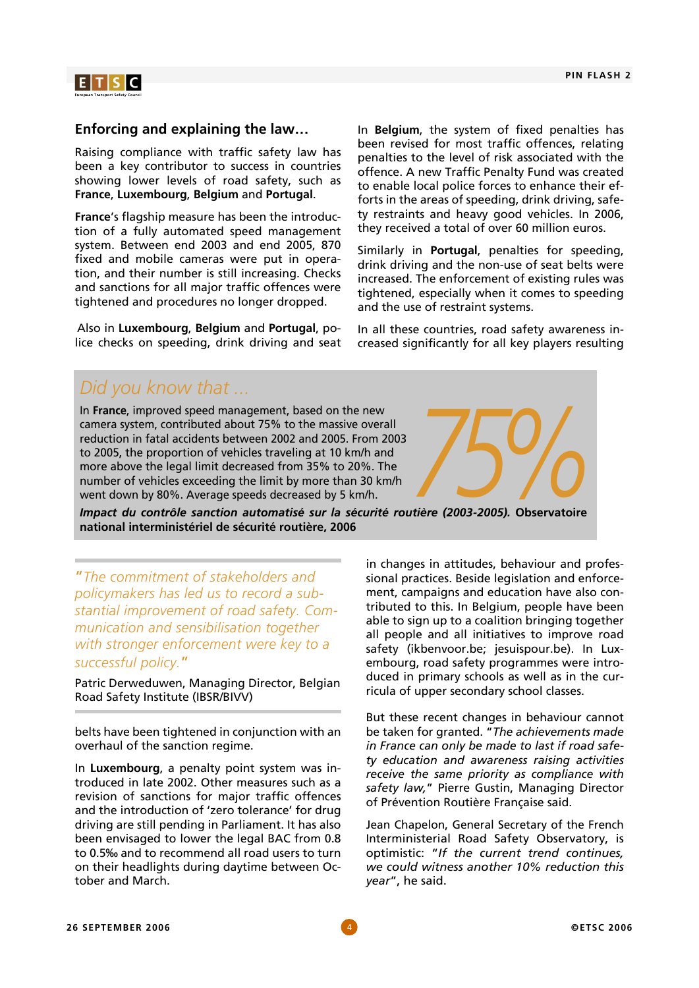

#### **Enforcing and explaining the law…**

Raising compliance with traffic safety law has been a key contributor to success in countries showing lower levels of road safety, such as **France**, **Luxembourg**, **Belgium** and **Portugal**.

**France**'s flagship measure has been the introduction of a fully automated speed management system. Between end 2003 and end 2005, 870 fixed and mobile cameras were put in operation, and their number is still increasing. Checks and sanctions for all major traffic offences were tightened and procedures no longer dropped.

Also in **Luxembourg**, **Belgium** and **Portugal**, police checks on speeding, drink driving and seat In **Belgium**, the system of fixed penalties has been revised for most traffic offences, relating penalties to the level of risk associated with the offence. A new Traffic Penalty Fund was created to enable local police forces to enhance their efforts in the areas of speeding, drink driving, safety restraints and heavy good vehicles. In 2006, they received a total of over 60 million euros.

Similarly in **Portugal**, penalties for speeding, drink driving and the non-use of seat belts were increased. The enforcement of existing rules was tightened, especially when it comes to speeding and the use of restraint systems.

In all these countries, road safety awareness increased significantly for all key players resulting

## *Did you know that ...*

In **France**, improved speed management, based on the new camera system, contributed about 75% to the massive overall reduction in fatal accidents between 2002 and 2005. From 2003 to 2005, the proportion of vehicles traveling at 10 km/h and more above the legal limit decreased from 35% to 20%. The number of vehicles exceeding the limit by more than 30 km/h In France, improved speed management, based on the new<br>camera system, contributed about 75% to the massive overall<br>reduction in fatal accidents between 2002 and 2005. From 2003<br>to 2005, the proportion of vehicles traveling

*Impact du contrôle sanction automatisé sur la sécurité routière (2003-2005).* **Observatoire national interministériel de sécurité routière, 2006** 

"*The commitment of stakeholders and policymakers has led us to record a substantial improvement of road safety. Communication and sensibilisation together with stronger enforcement were key to a successful policy.*"

Patric Derweduwen, Managing Director, Belgian Road Safety Institute (IBSR/BIVV)

belts have been tightened in conjunction with an overhaul of the sanction regime.

In **Luxembourg**, a penalty point system was introduced in late 2002. Other measures such as a revision of sanctions for major traffic offences and the introduction of 'zero tolerance' for drug driving are still pending in Parliament. It has also been envisaged to lower the legal BAC from 0.8 to 0.5‰ and to recommend all road users to turn on their headlights during daytime between October and March.

in changes in attitudes, behaviour and professional practices. Beside legislation and enforcement, campaigns and education have also contributed to this. In Belgium, people have been able to sign up to a coalition bringing together all people and all initiatives to improve road safety (ikbenvoor.be; jesuispour.be). In Luxembourg, road safety programmes were introduced in primary schools as well as in the curricula of upper secondary school classes.

But these recent changes in behaviour cannot be taken for granted. "*The achievements made in France can only be made to last if road safety education and awareness raising activities receive the same priority as compliance with safety law,*" Pierre Gustin, Managing Director of Prévention Routière Française said.

Jean Chapelon, General Secretary of the French Interministerial Road Safety Observatory, is optimistic: "*If the current trend continues, we could witness another 10% reduction this year*", he said.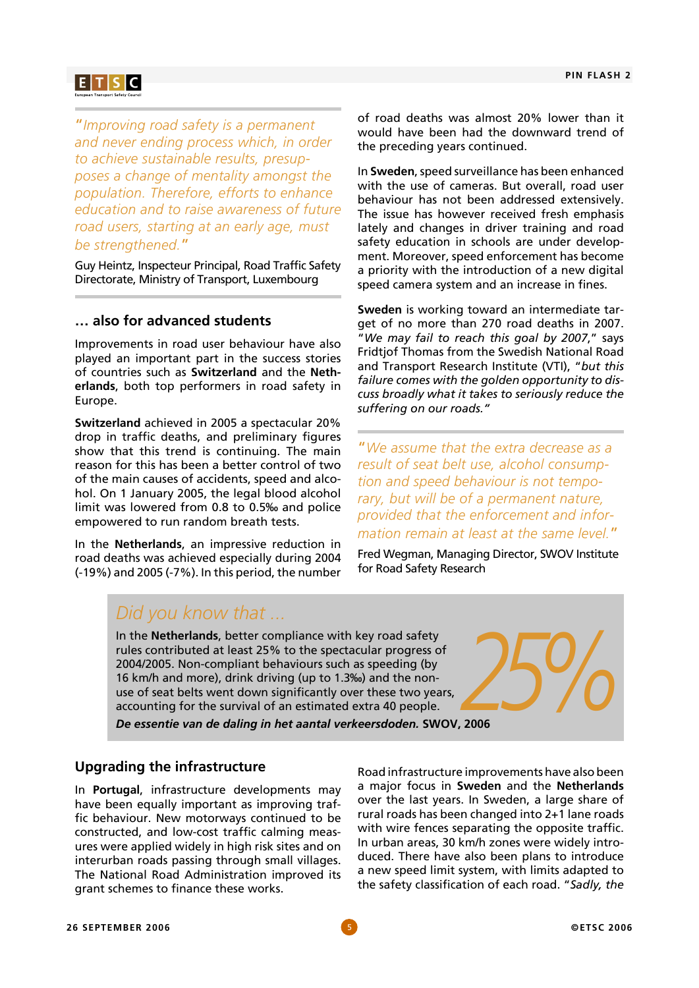## **E** TSC

"*Improving road safety is a permanent and never ending process which, in order to achieve sustainable results, presupposes a change of mentality amongst the population. Therefore, efforts to enhance education and to raise awareness of future road users, starting at an early age, must be strengthened.*"

Guy Heintz, Inspecteur Principal, Road Traffic Safety Directorate, Ministry of Transport, Luxembourg

#### **… also for advanced students**

Improvements in road user behaviour have also played an important part in the success stories of countries such as **Switzerland** and the **Netherlands**, both top performers in road safety in Europe.

**Switzerland** achieved in 2005 a spectacular 20% drop in traffic deaths, and preliminary figures show that this trend is continuing. The main reason for this has been a better control of two of the main causes of accidents, speed and alcohol. On 1 January 2005, the legal blood alcohol limit was lowered from 0.8 to 0.5‰ and police empowered to run random breath tests.

In the **Netherlands**, an impressive reduction in road deaths was achieved especially during 2004 (-19%) and 2005 (-7%). In this period, the number

of road deaths was almost 20% lower than it would have been had the downward trend of the preceding years continued.

In **Sweden**, speed surveillance has been enhanced with the use of cameras. But overall, road user behaviour has not been addressed extensively. The issue has however received fresh emphasis lately and changes in driver training and road safety education in schools are under development. Moreover, speed enforcement has become a priority with the introduction of a new digital speed camera system and an increase in fines.

**Sweden** is working toward an intermediate target of no more than 270 road deaths in 2007. "*We may fail to reach this goal by 2007*," says Fridtjof Thomas from the Swedish National Road and Transport Research Institute (VTI), "*but this failure comes with the golden opportunity to discuss broadly what it takes to seriously reduce the suffering on our roads."*

"*We assume that the extra decrease as a result of seat belt use, alcohol consumption and speed behaviour is not temporary, but will be of a permanent nature, provided that the enforcement and information remain at least at the same level.*"

Fred Wegman, Managing Director, SWOV Institute for Road Safety Research

## *Did you know that ...*

In the **Netherlands**, better compliance with key road safety rules contributed at least 25% to the spectacular progress of 2004/2005. Non-compliant behaviours such as speeding (by 16 km/h and more), drink driving (up to 1.3‰) and the nonuse of seat belts went down significantly over these two years, In the **Netherlands**, better compliance with key road safety<br>rules contributed at least 25% to the spectacular progress of<br>2004/2005. Non-compliant behaviours such as speeding (by<br>16 km/h and more), drink driving (up to 1.

*De essentie van de daling in het aantal verkeersdoden.* **SWOV, 2006** 

#### **Upgrading the infrastructure**

In **Portugal**, infrastructure developments may have been equally important as improving traffic behaviour. New motorways continued to be constructed, and low-cost traffic calming measures were applied widely in high risk sites and on interurban roads passing through small villages. The National Road Administration improved its grant schemes to finance these works.

Road infrastructure improvements have also been a major focus in **Sweden** and the **Netherlands** over the last years. In Sweden, a large share of rural roads has been changed into 2+1 lane roads with wire fences separating the opposite traffic. In urban areas, 30 km/h zones were widely introduced. There have also been plans to introduce a new speed limit system, with limits adapted to the safety classification of each road. "*Sadly, the*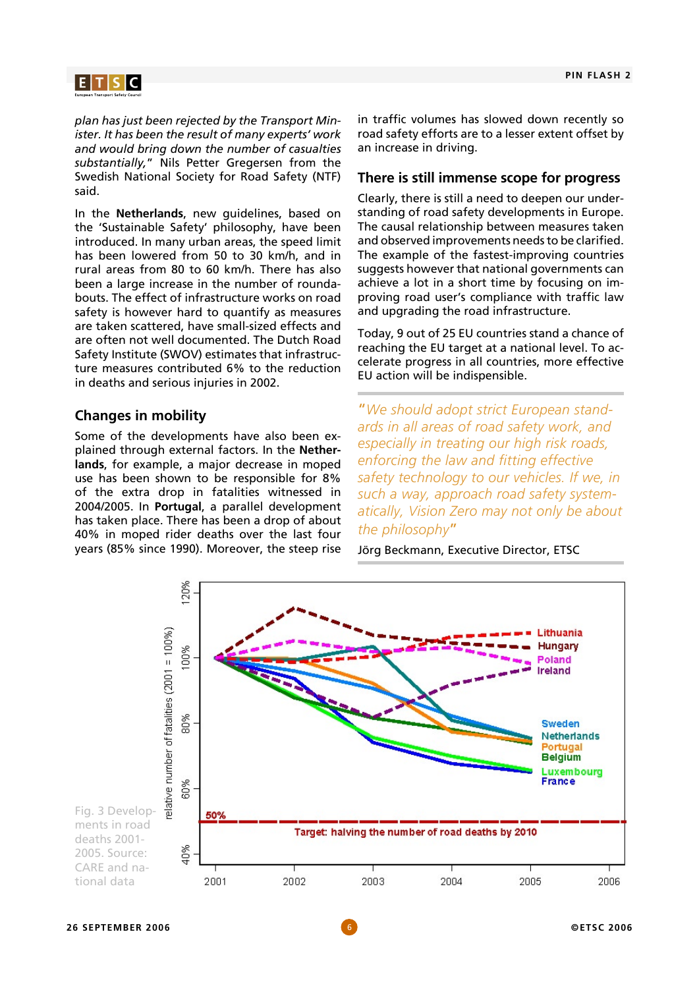## $E[T|S|C]$

*plan has just been rejected by the Transport Minister. It has been the result of many experts' work and would bring down the number of casualties substantially,*" Nils Petter Gregersen from the Swedish National Society for Road Safety (NTF) said.

In the **Netherlands**, new guidelines, based on the 'Sustainable Safety' philosophy, have been introduced. In many urban areas, the speed limit has been lowered from 50 to 30 km/h, and in rural areas from 80 to 60 km/h. There has also been a large increase in the number of roundabouts. The effect of infrastructure works on road safety is however hard to quantify as measures are taken scattered, have small-sized effects and are often not well documented. The Dutch Road Safety Institute (SWOV) estimates that infrastructure measures contributed 6% to the reduction in deaths and serious injuries in 2002.

#### **Changes in mobility**

Some of the developments have also been explained through external factors. In the **Netherlands**, for example, a major decrease in moped use has been shown to be responsible for 8% of the extra drop in fatalities witnessed in 2004/2005. In **Portugal**, a parallel development has taken place. There has been a drop of about 40% in moped rider deaths over the last four years (85% since 1990). Moreover, the steep rise in traffic volumes has slowed down recently so road safety efforts are to a lesser extent offset by an increase in driving.

#### **There is still immense scope for progress**

Clearly, there is still a need to deepen our understanding of road safety developments in Europe. The causal relationship between measures taken and observed improvements needs to be clarified. The example of the fastest-improving countries suggests however that national governments can achieve a lot in a short time by focusing on improving road user's compliance with traffic law and upgrading the road infrastructure.

Today, 9 out of 25 EU countries stand a chance of reaching the EU target at a national level. To accelerate progress in all countries, more effective EU action will be indispensible.

"*We should adopt strict European standards in all areas of road safety work, and especially in treating our high risk roads, enforcing the law and fitting effective safety technology to our vehicles. If we, in such a way, approach road safety systematically, Vision Zero may not only be about the philosophy*"

Jörg Beckmann, Executive Director, ETSC

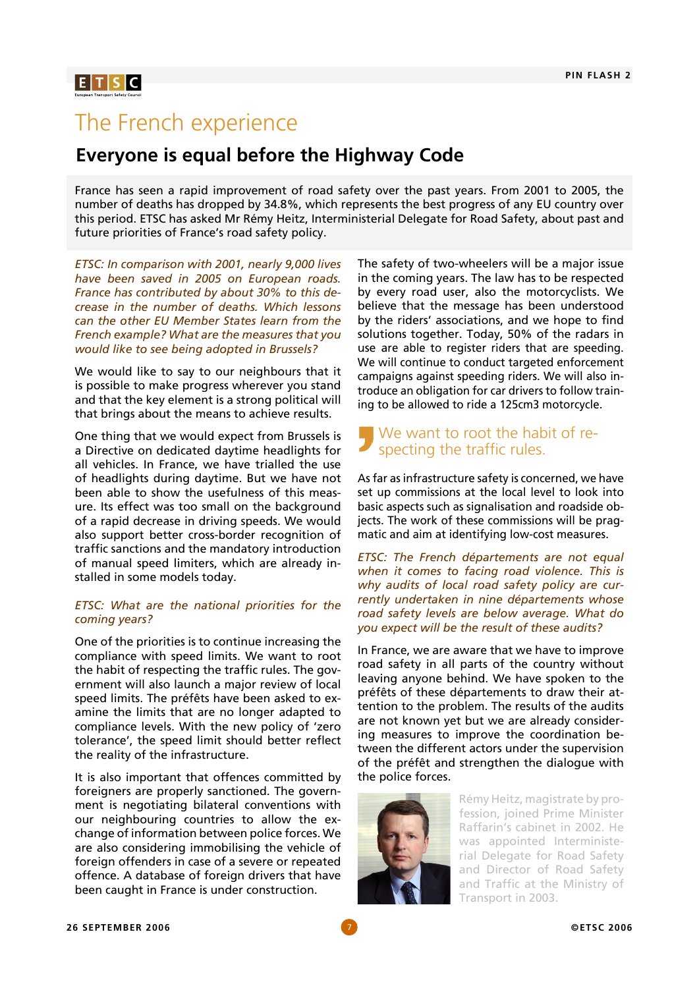## $E[T|S|C]$

## The French experience

### **Everyone is equal before the Highway Code**

France has seen a rapid improvement of road safety over the past years. From 2001 to 2005, the number of deaths has dropped by 34.8%, which represents the best progress of any EU country over this period. ETSC has asked Mr Rémy Heitz, Interministerial Delegate for Road Safety, about past and future priorities of France's road safety policy.

*ETSC: In comparison with 2001, nearly 9,000 lives have been saved in 2005 on European roads. France has contributed by about 30% to this decrease in the number of deaths. Which lessons can the other EU Member States learn from the French example? What are the measures that you would like to see being adopted in Brussels?*

We would like to say to our neighbours that it is possible to make progress wherever you stand and that the key element is a strong political will that brings about the means to achieve results.

One thing that we would expect from Brussels is a Directive on dedicated daytime headlights for all vehicles. In France, we have trialled the use of headlights during daytime. But we have not been able to show the usefulness of this measure. Its effect was too small on the background of a rapid decrease in driving speeds. We would also support better cross-border recognition of traffic sanctions and the mandatory introduction of manual speed limiters, which are already installed in some models today.

#### *ETSC: What are the national priorities for the coming years?*

One of the priorities is to continue increasing the compliance with speed limits. We want to root the habit of respecting the traffic rules. The government will also launch a major review of local speed limits. The préfêts have been asked to examine the limits that are no longer adapted to compliance levels. With the new policy of 'zero tolerance', the speed limit should better reflect the reality of the infrastructure.

It is also important that offences committed by foreigners are properly sanctioned. The government is negotiating bilateral conventions with our neighbouring countries to allow the exchange of information between police forces. We are also considering immobilising the vehicle of foreign offenders in case of a severe or repeated offence. A database of foreign drivers that have been caught in France is under construction.

The safety of two-wheelers will be a major issue in the coming years. The law has to be respected by every road user, also the motorcyclists. We believe that the message has been understood by the riders' associations, and we hope to find solutions together. Today, 50% of the radars in use are able to register riders that are speeding. We will continue to conduct targeted enforcement campaigns against speeding riders. We will also introduce an obligation for car drivers to follow training to be allowed to ride a 125cm3 motorcycle.

#### We want to root the habit of respecting the traffic rules.

As far as infrastructure safety is concerned, we have set up commissions at the local level to look into basic aspects such as signalisation and roadside objects. The work of these commissions will be pragmatic and aim at identifying low-cost measures.

*ETSC: The French départements are not equal when it comes to facing road violence. This is why audits of local road safety policy are currently undertaken in nine départements whose road safety levels are below average. What do you expect will be the result of these audits?* 

In France, we are aware that we have to improve road safety in all parts of the country without leaving anyone behind. We have spoken to the préfêts of these départements to draw their attention to the problem. The results of the audits are not known yet but we are already considering measures to improve the coordination between the different actors under the supervision of the préfêt and strengthen the dialogue with the police forces.



Rémy Heitz, magistrate by profession, joined Prime Minister Raffarin's cabinet in 2002. He was appointed Interministerial Delegate for Road Safety and Director of Road Safety and Traffic at the Ministry of Transport in 2003.